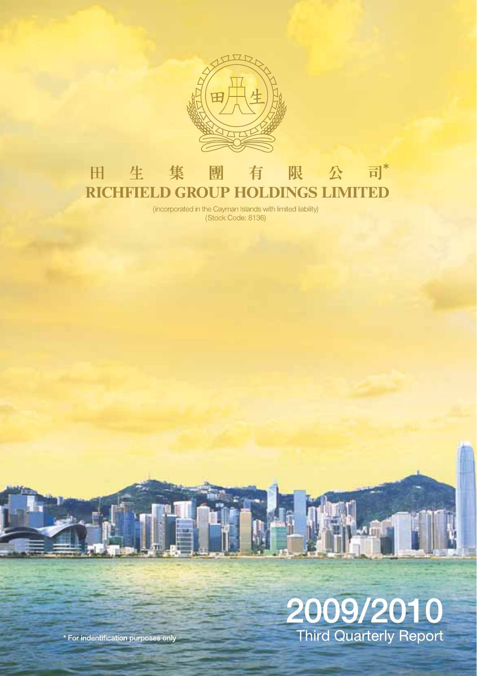

#### 有限公司\* 田 生 集 團 **RICHFIELD GROUP HOLDINGS LIMITED**

(incorporated in the Cayman Islands with limited liability) (Stock Code: 8136)

# 2009/2010 Third Quarterly Report

\* For indentification purposes only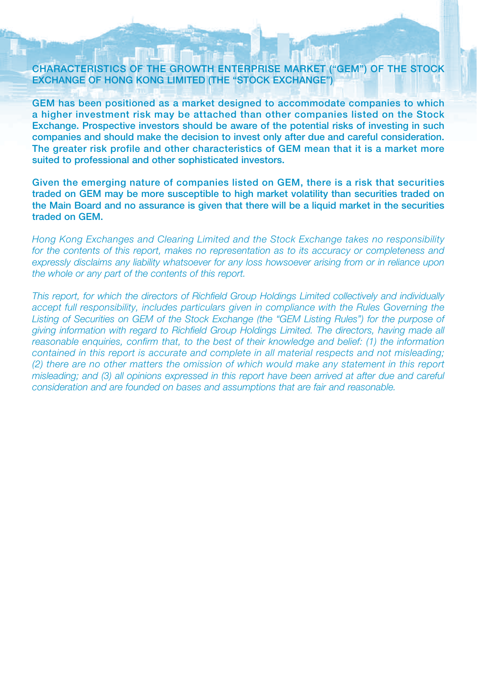#### **CHARACTERISTICS OF THE GROWTH ENTERPRISE MARKET ("GEM") OF THE STOCK EXCHANGE OF HONG KONG LIMITED (THE "STOCK EXCHANGE")**

**GEM has been positioned as a market designed to accommodate companies to which a higher investment risk may be attached than other companies listed on the Stock Exchange. Prospective investors should be aware of the potential risks of investing in such companies and should make the decision to invest only after due and careful consideration. The greater risk profile and other characteristics of GEM mean that it is a market more suited to professional and other sophisticated investors.**

**Given the emerging nature of companies listed on GEM, there is a risk that securities traded on GEM may be more susceptible to high market volatility than securities traded on the Main Board and no assurance is given that there will be a liquid market in the securities traded on GEM.**

Hong Kong Exchanges and Clearing Limited and the Stock Exchange takes no responsibility for the contents of this report, makes no representation as to its accuracy or completeness and expressly disclaims any liability whatsoever for any loss howsoever arising from or in reliance upon the whole or any part of the contents of this report.

This report, for which the directors of Richfield Group Holdings Limited collectively and individually accept full responsibility, includes particulars given in compliance with the Rules Governing the Listing of Securities on GEM of the Stock Exchange (the "GEM Listing Rules") for the purpose of giving information with regard to Richfield Group Holdings Limited. The directors, having made all reasonable enquiries, confirm that, to the best of their knowledge and belief: (1) the information contained in this report is accurate and complete in all material respects and not misleading; (2) there are no other matters the omission of which would make any statement in this report misleading; and (3) all opinions expressed in this report have been arrived at after due and careful consideration and are founded on bases and assumptions that are fair and reasonable.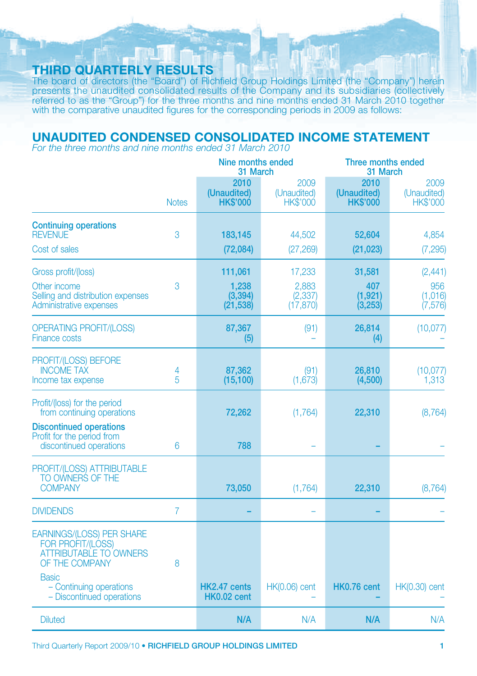### **THIRD QUARTERLY RESULTS**

The board of directors (the "Board") of Richfield Group Holdings Limited (the "Company") herein presents the unaudited consolidated results of the Company and its subsidiaries (collectively referred to as the "Group") for the three months and nine months ended 31 March 2010 together with the comparative unaudited figures for the corresponding periods in 2009 as follows:

### **UNAUDITED CONDENSED CONSOLIDATED INCOME STATEMENT**

For the three months and nine months ended 31 March 2010

|                                                                                                                 |                | Nine months ended<br>31 March          |                                        | Three months ended<br>31 March         |                                        |
|-----------------------------------------------------------------------------------------------------------------|----------------|----------------------------------------|----------------------------------------|----------------------------------------|----------------------------------------|
|                                                                                                                 | <b>Notes</b>   | 2010<br>(Unaudited)<br><b>HK\$'000</b> | 2009<br>(Unaudited)<br><b>HK\$'000</b> | 2010<br>(Unaudited)<br><b>HK\$'000</b> | 2009<br>(Unaudited)<br><b>HK\$'000</b> |
| <b>Continuing operations</b><br><b>REVENUE</b>                                                                  | 3              | 183,145                                | 44,502                                 | 52,604                                 | 4,854                                  |
| Cost of sales                                                                                                   |                | (72,084)                               | (27, 269)                              | (21, 023)                              | (7, 295)                               |
| Gross profit/(loss)                                                                                             |                | 111,061                                | 17,233                                 | 31,581                                 | (2, 441)                               |
| Other income<br>Selling and distribution expenses<br>Administrative expenses                                    | 3              | 1,238<br>(3, 394)<br>(21, 538)         | 2,883<br>(2, 337)<br>(17, 870)         | 407<br>(1, 921)<br>(3,253)             | 956<br>(1,016)<br>(7, 576)             |
| <b>OPERATING PROFIT/(LOSS)</b><br><b>Finance costs</b>                                                          |                | 87,367<br>(5)                          | (91)                                   | 26,814<br>(4)                          | (10,077)                               |
| PROFIT/(LOSS) BEFORE<br><b>INCOME TAX</b><br>Income tax expense                                                 | 4<br>5         | 87,362<br>(15, 100)                    | (91)<br>(1,673)                        | 26,810<br>(4,500)                      | (10,077)<br>1,313                      |
| Profit/(loss) for the period<br>from continuing operations<br><b>Discontinued operations</b>                    |                | 72,262                                 | (1,764)                                | 22,310                                 | (8, 764)                               |
| Profit for the period from<br>discontinued operations                                                           | 6              | 788                                    |                                        |                                        |                                        |
| PROFIT/(LOSS) ATTRIBUTABLE<br>TO OWNERS OF THE<br><b>COMPANY</b>                                                |                | 73,050                                 | (1,764)                                | 22,310                                 | (8, 764)                               |
| <b>DIVIDENDS</b>                                                                                                | $\overline{7}$ |                                        |                                        |                                        |                                        |
| <b>EARNINGS/(LOSS) PER SHARE</b><br><b>FOR PROFIT/(LOSS)</b><br><b>ATTRIBUTABLE TO OWNERS</b><br>OF THE COMPANY | 8              |                                        |                                        |                                        |                                        |
| <b>Basic</b><br>- Continuing operations<br>- Discontinued operations                                            |                | HK2.47 cents<br><b>HK0.02 cent</b>     | <b>HK(0.06)</b> cent                   | HK0.76 cent                            | <b>HK(0.30)</b> cent                   |
| <b>Diluted</b>                                                                                                  |                | N/A                                    | N/A                                    | N/A                                    | N/A                                    |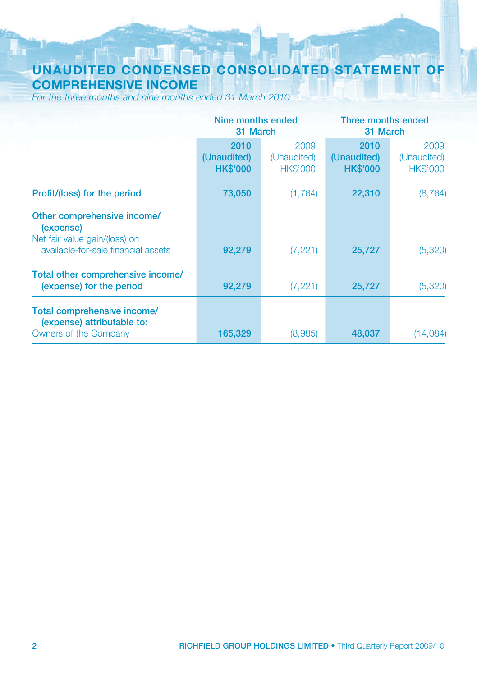### **UNAUDITED CONDENSED CONSOLIDATED STATEMENT OF COMPREHENSIVE INCOME**

For the three months and nine months ended 31 March 2010

|                                                                                                                  |                                        | Nine months ended<br>31 March          |                                        | Three months ended<br>31 March         |
|------------------------------------------------------------------------------------------------------------------|----------------------------------------|----------------------------------------|----------------------------------------|----------------------------------------|
|                                                                                                                  | 2010<br>(Unaudited)<br><b>HK\$'000</b> | 2009<br>(Unaudited)<br><b>HK\$'000</b> | 2010<br>(Unaudited)<br><b>HK\$'000</b> | 2009<br>(Unaudited)<br><b>HK\$'000</b> |
| Profit/(loss) for the period                                                                                     | 73,050                                 | (1,764)                                | 22,310                                 | (8, 764)                               |
| Other comprehensive income/<br>(expense)<br>Net fair value gain/(loss) on<br>available-for-sale financial assets | 92,279                                 | (7,221)                                | 25,727                                 | (5,320)                                |
| Total other comprehensive income/<br>(expense) for the period                                                    | 92,279                                 | (7,221)                                | 25,727                                 | (5,320)                                |
| Total comprehensive income/<br>(expense) attributable to:<br>Owners of the Company                               | 165,329                                | (8,985)                                | 48,037                                 | (14,084)                               |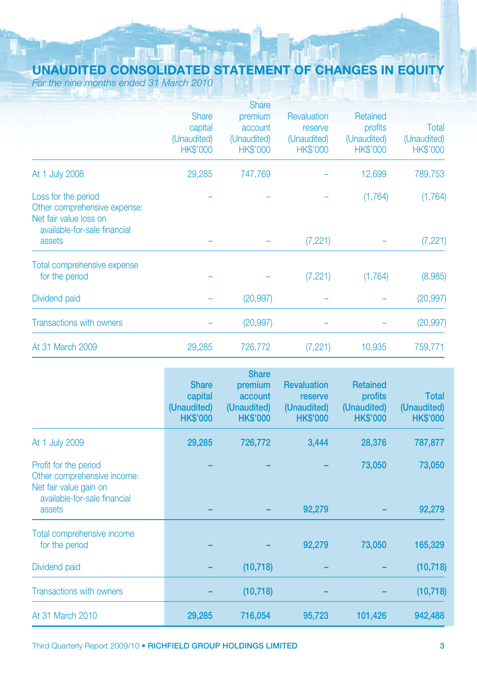# **UNAUDITED CONSOLIDATED STATEMENT OF CHANGES IN EQUITY**

For the nine months ended 31 March 2010

|                                                                                                               |                 | <b>Share</b>    |                 |                 |                 |
|---------------------------------------------------------------------------------------------------------------|-----------------|-----------------|-----------------|-----------------|-----------------|
|                                                                                                               | <b>Share</b>    | premium         | Revaluation     | Retained        |                 |
|                                                                                                               | capital         | account         | reserve         | profits         | Total           |
|                                                                                                               | (Unaudited)     | (Unaudited)     | (Unaudited)     | (Unaudited)     | (Unaudited)     |
|                                                                                                               | <b>HK\$'000</b> | <b>HK\$'000</b> | <b>HK\$'000</b> | <b>HK\$'000</b> | <b>HK\$'000</b> |
| At 1 July 2008                                                                                                | 29,285          | 747,769         |                 | 12,699          | 789,753         |
| Loss for the period<br>Other comprehensive expense:<br>Net fair value loss on<br>available-for-sale financial |                 |                 |                 | (1,764)         | (1,764)         |
| assets                                                                                                        |                 |                 | (7,221)         |                 | (7, 221)        |
| Total comprehensive expense                                                                                   |                 |                 |                 |                 |                 |
| for the period                                                                                                |                 |                 | (7, 221)        | (1,764)         | (8,985)         |
| Dividend paid                                                                                                 |                 | (20, 997)       |                 |                 | (20, 997)       |
| <b>Transactions with owners</b>                                                                               |                 | (20, 997)       |                 |                 | (20, 997)       |
| At 31 March 2009                                                                                              | 29,285          | 726,772         | (7,221)         | 10,935          | 759,771         |

|                                                                                                                | <b>Share</b><br>capital<br>(Unaudited)<br><b>HK\$'000</b> | <b>Share</b><br>premium<br>account<br>(Unaudited)<br><b>HK\$'000</b> | <b>Revaluation</b><br>reserve<br>(Unaudited)<br><b>HK\$'000</b> | <b>Retained</b><br>profits<br>(Unaudited)<br><b>HK\$'000</b> | <b>Total</b><br>(Unaudited)<br><b>HK\$'000</b> |
|----------------------------------------------------------------------------------------------------------------|-----------------------------------------------------------|----------------------------------------------------------------------|-----------------------------------------------------------------|--------------------------------------------------------------|------------------------------------------------|
| At 1 July 2009                                                                                                 | 29,285                                                    | 726,772                                                              | 3,444                                                           | 28,376                                                       | 787,877                                        |
| Profit for the period<br>Other comprehensive income:<br>Net fair value gain on<br>available-for-sale financial |                                                           |                                                                      |                                                                 | 73,050                                                       | 73,050                                         |
| assets                                                                                                         |                                                           |                                                                      | 92,279                                                          |                                                              | 92,279                                         |
| Total comprehensive income<br>for the period                                                                   |                                                           |                                                                      | 92,279                                                          | 73,050                                                       | 165,329                                        |
| Dividend paid                                                                                                  |                                                           | (10, 718)                                                            |                                                                 |                                                              | (10, 718)                                      |
| <b>Transactions with owners</b>                                                                                |                                                           | (10, 718)                                                            |                                                                 |                                                              | (10, 718)                                      |
| At 31 March 2010                                                                                               | 29,285                                                    | 716,054                                                              | 95,723                                                          | 101,426                                                      | 942,488                                        |

Third Quarterly Report 2009/10 **• RICHFIELD GROUP HOLDINGS LIMITED 3**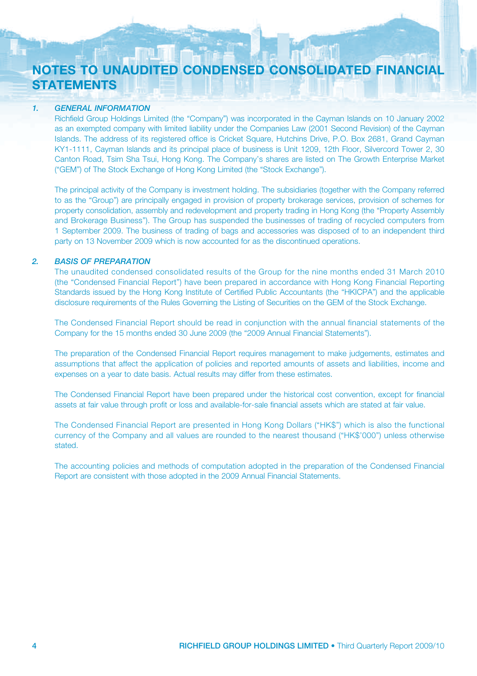## **NOTES TO UNAUDITED CONDENSED CONSOLIDATED FINANCIAL STATEMENTS**

#### *1. GENERAL INFORMATION*

Richfield Group Holdings Limited (the "Company") was incorporated in the Cayman Islands on 10 January 2002 as an exempted company with limited liability under the Companies Law (2001 Second Revision) of the Cayman Islands. The address of its registered office is Cricket Square, Hutchins Drive, P.O. Box 2681, Grand Cayman KY1-1111, Cayman Islands and its principal place of business is Unit 1209, 12th Floor, Silvercord Tower 2, 30 Canton Road, Tsim Sha Tsui, Hong Kong. The Company's shares are listed on The Growth Enterprise Market ("GEM") of The Stock Exchange of Hong Kong Limited (the "Stock Exchange").

The principal activity of the Company is investment holding. The subsidiaries (together with the Company referred to as the "Group") are principally engaged in provision of property brokerage services, provision of schemes for property consolidation, assembly and redevelopment and property trading in Hong Kong (the "Property Assembly and Brokerage Business"). The Group has suspended the businesses of trading of recycled computers from 1 September 2009. The business of trading of bags and accessories was disposed of to an independent third party on 13 November 2009 which is now accounted for as the discontinued operations.

#### *2. BASIS OF PREPARATION*

The unaudited condensed consolidated results of the Group for the nine months ended 31 March 2010 (the "Condensed Financial Report") have been prepared in accordance with Hong Kong Financial Reporting Standards issued by the Hong Kong Institute of Certified Public Accountants (the "HKICPA") and the applicable disclosure requirements of the Rules Governing the Listing of Securities on the GEM of the Stock Exchange.

The Condensed Financial Report should be read in conjunction with the annual financial statements of the Company for the 15 months ended 30 June 2009 (the "2009 Annual Financial Statements").

The preparation of the Condensed Financial Report requires management to make judgements, estimates and assumptions that affect the application of policies and reported amounts of assets and liabilities, income and expenses on a year to date basis. Actual results may differ from these estimates.

The Condensed Financial Report have been prepared under the historical cost convention, except for financial assets at fair value through profit or loss and available-for-sale financial assets which are stated at fair value.

The Condensed Financial Report are presented in Hong Kong Dollars ("HK\$") which is also the functional currency of the Company and all values are rounded to the nearest thousand ("HK\$'000") unless otherwise stated.

The accounting policies and methods of computation adopted in the preparation of the Condensed Financial Report are consistent with those adopted in the 2009 Annual Financial Statements.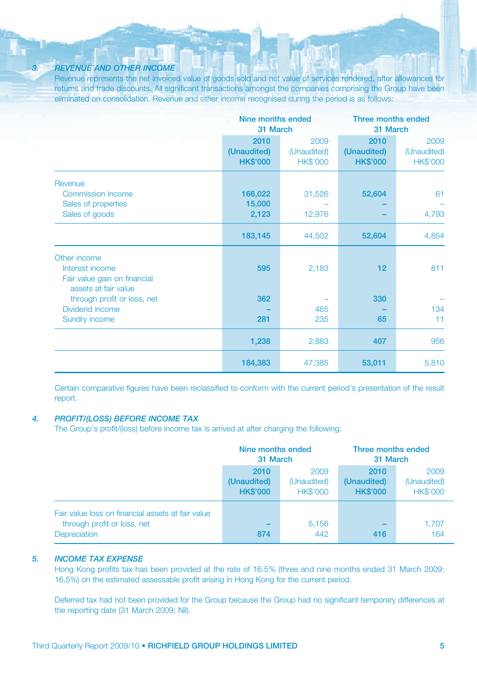#### *3. REVENUE AND OTHER INCOME*

Revenue represents the net invoiced value of goods sold and net value of services rendered, after allowances for returns and trade discounts. All significant transactions amongst the companies comprising the Group have been eliminated on consolidation. Revenue and other income recognised during the period is as follows:

|                                                                                         | Nine months ended<br>31 March          |                                        | Three months ended<br>31 March         |                                        |
|-----------------------------------------------------------------------------------------|----------------------------------------|----------------------------------------|----------------------------------------|----------------------------------------|
|                                                                                         | 2010<br>(Unaudited)<br><b>HK\$'000</b> | 2009<br>(Unaudited)<br><b>HK\$'000</b> | 2010<br>(Unaudited)<br><b>HK\$'000</b> | 2009<br>(Unaudited)<br><b>HK\$'000</b> |
| Revenue<br>Commission income<br>Sales of properties<br>Sales of goods                   | 166,022<br>15,000<br>2,123             | 31,526<br>12,976                       | 52,604                                 | 61<br>4,793                            |
|                                                                                         | 183,145                                | 44,502                                 | 52,604                                 | 4,854                                  |
| Other income<br>Interest income<br>Fair value gain on financial<br>assets at fair value | 595                                    | 2,183                                  | 12                                     | 811                                    |
| through profit or loss, net<br>Dividend income<br><b>Sundry income</b>                  | 362<br>281                             | 465<br>235                             | 330<br>65                              | 134<br>11                              |
|                                                                                         | 1,238                                  | 2,883                                  | 407                                    | 956                                    |
|                                                                                         | 184,383                                | 47,385                                 | 53,011                                 | 5,810                                  |

Certain comparative figures have been reclassified to conform with the current period's presentation of the result report.

#### *4. PROFIT/(LOSS) BEFORE INCOME TAX*

The Group's profit/(loss) before income tax is arrived at after charging the following:

|                                                                                                  | Nine months ended<br>31 March          |                                        | Three months ended<br>31 March         |                                        |
|--------------------------------------------------------------------------------------------------|----------------------------------------|----------------------------------------|----------------------------------------|----------------------------------------|
|                                                                                                  | 2010<br>(Unaudited)<br><b>HK\$'000</b> | 2009<br>(Unaudited)<br><b>HK\$'000</b> | 2010<br>(Unaudited)<br><b>HK\$'000</b> | 2009<br>(Unaudited)<br><b>HK\$'000</b> |
| Fair value loss on financial assets at fair value<br>through profit or loss, net<br>Depreciation | -<br>874                               | 5,156<br>442                           | -<br>416                               | 1,707<br>164                           |

#### *5. INCOME TAX EXPENSE*

Hong Kong profits tax has been provided at the rate of 16.5% (three and nine months ended 31 March 2009: 16.5%) on the estimated assessable profit arising in Hong Kong for the current period.

Deferred tax had not been provided for the Group because the Group had no significant temporary differences at the reporting date (31 March 2009: Nil).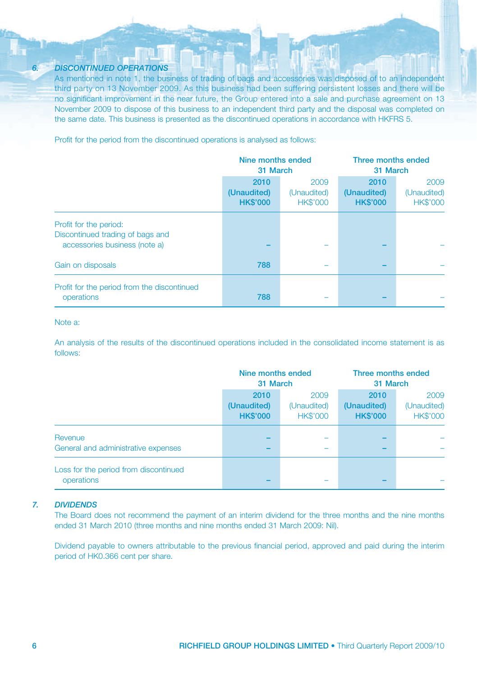#### *6. DISCONTINUED OPERATIONS*

As mentioned in note 1, the business of trading of bags and accessories was disposed of to an independent third party on 13 November 2009. As this business had been suffering persistent losses and there will be no significant improvement in the near future, the Group entered into a sale and purchase agreement on 13 November 2009 to dispose of this business to an independent third party and the disposal was completed on the same date. This business is presented as the discontinued operations in accordance with HKFRS 5.

Profit for the period from the discontinued operations is analysed as follows:

|                                                                                             | Nine months ended<br>31 March          |                                        | Three months ended<br>31 March         |                                        |
|---------------------------------------------------------------------------------------------|----------------------------------------|----------------------------------------|----------------------------------------|----------------------------------------|
|                                                                                             | 2010<br>(Unaudited)<br><b>HK\$'000</b> | 2009<br>(Unaudited)<br><b>HK\$'000</b> | 2010<br>(Unaudited)<br><b>HK\$'000</b> | 2009<br>(Unaudited)<br><b>HK\$'000</b> |
| Profit for the period:<br>Discontinued trading of bags and<br>accessories business (note a) |                                        |                                        |                                        |                                        |
| Gain on disposals                                                                           | 788                                    |                                        |                                        |                                        |
| Profit for the period from the discontinued<br>operations                                   | 788                                    |                                        |                                        |                                        |

#### Note a:

An analysis of the results of the discontinued operations included in the consolidated income statement is as follows:

|                                                     | Nine months ended<br>31 March          |                                        | Three months ended<br>31 March         |                                        |
|-----------------------------------------------------|----------------------------------------|----------------------------------------|----------------------------------------|----------------------------------------|
|                                                     | 2010<br>(Unaudited)<br><b>HK\$'000</b> | 2009<br>(Unaudited)<br><b>HK\$'000</b> | 2010<br>(Unaudited)<br><b>HK\$'000</b> | 2009<br>(Unaudited)<br><b>HK\$'000</b> |
| Revenue<br>General and administrative expenses      |                                        |                                        |                                        |                                        |
| Loss for the period from discontinued<br>operations |                                        |                                        |                                        |                                        |

#### *7. DIVIDENDS*

The Board does not recommend the payment of an interim dividend for the three months and the nine months ended 31 March 2010 (three months and nine months ended 31 March 2009: Nil).

Dividend payable to owners attributable to the previous financial period, approved and paid during the interim period of HK0.366 cent per share.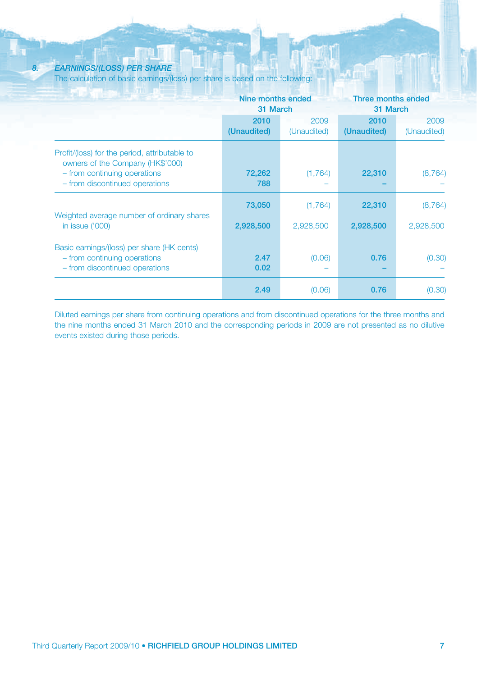#### *8. EARNINGS/(LOSS) PER SHARE*

The calculation of basic earnings/(loss) per share is based on the following:

|                                                                                                              | Nine months ended<br>31 March |                     | Three months ended<br>31 March |                     |
|--------------------------------------------------------------------------------------------------------------|-------------------------------|---------------------|--------------------------------|---------------------|
|                                                                                                              | 2010<br>(Unaudited)           | 2009<br>(Unaudited) | 2010<br>(Unaudited)            | 2009<br>(Unaudited) |
| Profit/(loss) for the period, attributable to<br>owners of the Company (HK\$'000)                            |                               |                     |                                |                     |
| - from continuing operations<br>- from discontinued operations                                               | 72,262<br>788                 | (1,764)             | 22,310                         | (8,764)             |
|                                                                                                              | 73,050                        | (1,764)             | 22,310                         | (8, 764)            |
| Weighted average number of ordinary shares<br>in issue ('000)                                                | 2,928,500                     | 2,928,500           | 2,928,500                      | 2,928,500           |
| Basic earnings/(loss) per share (HK cents)<br>- from continuing operations<br>- from discontinued operations | 2.47<br>0.02                  | (0.06)              | 0.76                           | (0.30)              |
|                                                                                                              | 2.49                          | (0.06)              | 0.76                           | (0.30)              |

Diluted earnings per share from continuing operations and from discontinued operations for the three months and the nine months ended 31 March 2010 and the corresponding periods in 2009 are not presented as no dilutive events existed during those periods.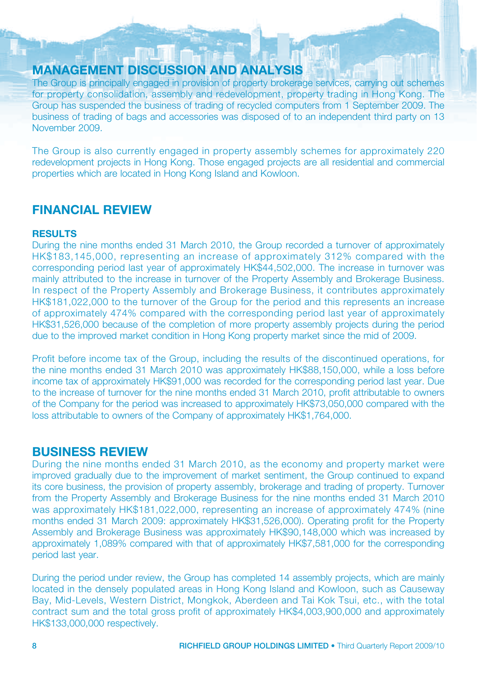### **MANAGEMENT DISCUSSION AND ANALYSIS**

The Group is principally engaged in provision of property brokerage services, carrying out schemes for property consolidation, assembly and redevelopment, property trading in Hong Kong. The Group has suspended the business of trading of recycled computers from 1 September 2009. The business of trading of bags and accessories was disposed of to an independent third party on 13 November 2009.

The Group is also currently engaged in property assembly schemes for approximately 220 redevelopment projects in Hong Kong. Those engaged projects are all residential and commercial properties which are located in Hong Kong Island and Kowloon.

### **FINANCIAL REVIEW**

#### **RESULTS**

During the nine months ended 31 March 2010, the Group recorded a turnover of approximately HK\$183,145,000, representing an increase of approximately 312% compared with the corresponding period last year of approximately HK\$44,502,000. The increase in turnover was mainly attributed to the increase in turnover of the Property Assembly and Brokerage Business. In respect of the Property Assembly and Brokerage Business, it contributes approximately HK\$181,022,000 to the turnover of the Group for the period and this represents an increase of approximately 474% compared with the corresponding period last year of approximately HK\$31,526,000 because of the completion of more property assembly projects during the period due to the improved market condition in Hong Kong property market since the mid of 2009.

Profit before income tax of the Group, including the results of the discontinued operations, for the nine months ended 31 March 2010 was approximately HK\$88,150,000, while a loss before income tax of approximately HK\$91,000 was recorded for the corresponding period last year. Due to the increase of turnover for the nine months ended 31 March 2010, profit attributable to owners of the Company for the period was increased to approximately HK\$73,050,000 compared with the loss attributable to owners of the Company of approximately HK\$1,764,000.

### **BUSINESS REVIEW**

During the nine months ended 31 March 2010, as the economy and property market were improved gradually due to the improvement of market sentiment, the Group continued to expand its core business, the provision of property assembly, brokerage and trading of property. Turnover from the Property Assembly and Brokerage Business for the nine months ended 31 March 2010 was approximately HK\$181,022,000, representing an increase of approximately 474% (nine months ended 31 March 2009: approximately HK\$31,526,000). Operating profit for the Property Assembly and Brokerage Business was approximately HK\$90,148,000 which was increased by approximately 1,089% compared with that of approximately HK\$7,581,000 for the corresponding period last year.

During the period under review, the Group has completed 14 assembly projects, which are mainly located in the densely populated areas in Hong Kong Island and Kowloon, such as Causeway Bay, Mid-Levels, Western District, Mongkok, Aberdeen and Tai Kok Tsui, etc., with the total contract sum and the total gross profit of approximately HK\$4,003,900,000 and approximately HK\$133,000,000 respectively.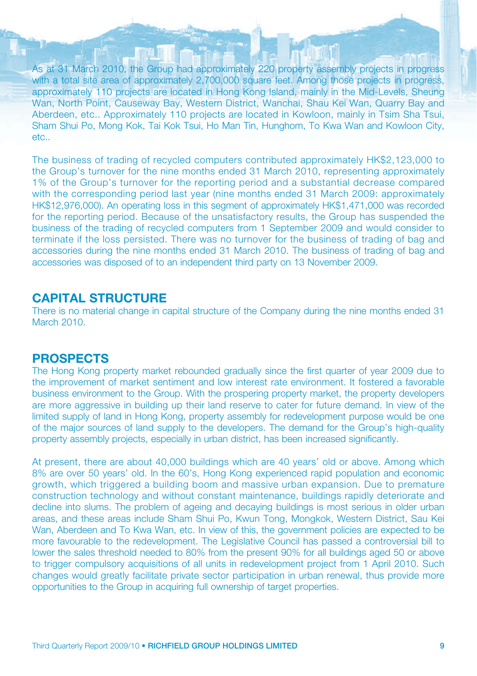As at 31 March 2010, the Group had approximately 220 property assembly projects in progress with a total site area of approximately 2,700,000 square feet. Among those projects in progress, approximately 110 projects are located in Hong Kong Island, mainly in the Mid-Levels, Sheung Wan, North Point, Causeway Bay, Western District, Wanchai, Shau Kei Wan, Quarry Bay and Aberdeen, etc.. Approximately 110 projects are located in Kowloon, mainly in Tsim Sha Tsui, Sham Shui Po, Mong Kok, Tai Kok Tsui, Ho Man Tin, Hunghom, To Kwa Wan and Kowloon City, etc..

The business of trading of recycled computers contributed approximately HK\$2,123,000 to the Group's turnover for the nine months ended 31 March 2010, representing approximately 1% of the Group's turnover for the reporting period and a substantial decrease compared with the corresponding period last year (nine months ended 31 March 2009; approximately HK\$12,976,000). An operating loss in this segment of approximately HK\$1,471,000 was recorded for the reporting period. Because of the unsatisfactory results, the Group has suspended the business of the trading of recycled computers from 1 September 2009 and would consider to terminate if the loss persisted. There was no turnover for the business of trading of bag and accessories during the nine months ended 31 March 2010. The business of trading of bag and accessories was disposed of to an independent third party on 13 November 2009.

### **CAPITAL STRUCTURE**

There is no material change in capital structure of the Company during the nine months ended 31 March 2010.

### **PROSPECTS**

The Hong Kong property market rebounded gradually since the first quarter of year 2009 due to the improvement of market sentiment and low interest rate environment. It fostered a favorable business environment to the Group. With the prospering property market, the property developers are more aggressive in building up their land reserve to cater for future demand. In view of the limited supply of land in Hong Kong, property assembly for redevelopment purpose would be one of the major sources of land supply to the developers. The demand for the Group's high-quality property assembly projects, especially in urban district, has been increased significantly.

At present, there are about 40,000 buildings which are 40 years' old or above. Among which 8% are over 50 years' old. In the 60's, Hong Kong experienced rapid population and economic growth, which triggered a building boom and massive urban expansion. Due to premature construction technology and without constant maintenance, buildings rapidly deteriorate and decline into slums. The problem of ageing and decaying buildings is most serious in older urban areas, and these areas include Sham Shui Po, Kwun Tong, Mongkok, Western District, Sau Kei Wan, Aberdeen and To Kwa Wan, etc. In view of this, the government policies are expected to be more favourable to the redevelopment. The Legislative Council has passed a controversial bill to lower the sales threshold needed to 80% from the present 90% for all buildings aged 50 or above to trigger compulsory acquisitions of all units in redevelopment project from 1 April 2010. Such changes would greatly facilitate private sector participation in urban renewal, thus provide more opportunities to the Group in acquiring full ownership of target properties.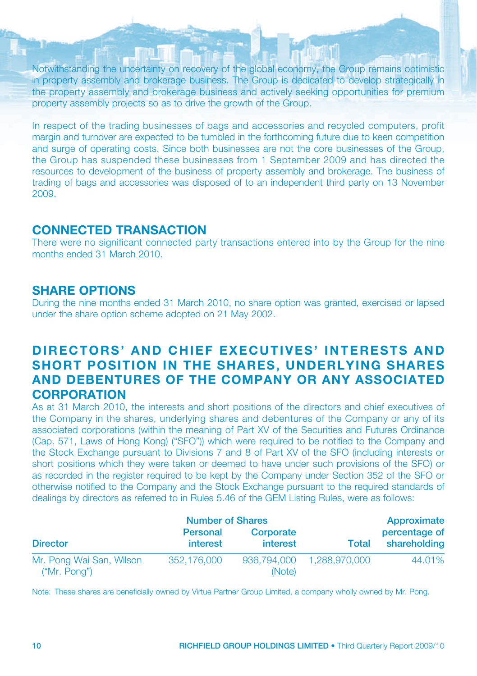Notwithstanding the uncertainty on recovery of the global economy, the Group remains optimistic in property assembly and brokerage business. The Group is dedicated to develop strategically in the property assembly and brokerage business and actively seeking opportunities for premium property assembly projects so as to drive the growth of the Group.

In respect of the trading businesses of bags and accessories and recycled computers, profit margin and turnover are expected to be tumbled in the forthcoming future due to keen competition and surge of operating costs. Since both businesses are not the core businesses of the Group, the Group has suspended these businesses from 1 September 2009 and has directed the resources to development of the business of property assembly and brokerage. The business of trading of bags and accessories was disposed of to an independent third party on 13 November 2009.

### **CONNECTED TRANSACTION**

There were no significant connected party transactions entered into by the Group for the nine months ended 31 March 2010.

### **SHARE OPTIONS**

During the nine months ended 31 March 2010, no share option was granted, exercised or lapsed under the share option scheme adopted on 21 May 2002.

### **DIRECTORS' AND CHIEF EXECUTIVES' INTERESTS AND SHORT POSITION IN THE SHARES, UNDERLYING SHARES AND DEBENTURES OF THE COMPANY OR ANY ASSOCIATED CORPORATION**

As at 31 March 2010, the interests and short positions of the directors and chief executives of the Company in the shares, underlying shares and debentures of the Company or any of its associated corporations (within the meaning of Part XV of the Securities and Futures Ordinance (Cap. 571, Laws of Hong Kong) ("SFO")) which were required to be notified to the Company and the Stock Exchange pursuant to Divisions 7 and 8 of Part XV of the SFO (including interests or short positions which they were taken or deemed to have under such provisions of the SFO) or as recorded in the register required to be kept by the Company under Section 352 of the SFO or otherwise notified to the Company and the Stock Exchange pursuant to the required standards of dealings by directors as referred to in Rules 5.46 of the GEM Listing Rules, were as follows:

|                                          | <b>Number of Shares</b>     |                       |               | Approximate                   |  |
|------------------------------------------|-----------------------------|-----------------------|---------------|-------------------------------|--|
| <b>Director</b>                          | <b>Personal</b><br>interest | Corporate<br>interest | Total         | percentage of<br>shareholding |  |
| Mr. Pong Wai San, Wilson<br>("Mr. Ponq") | 352.176,000                 | 936,794,000<br>(Note) | 1.288.970.000 | 44.01%                        |  |

Note: These shares are beneficially owned by Virtue Partner Group Limited, a company wholly owned by Mr. Pong.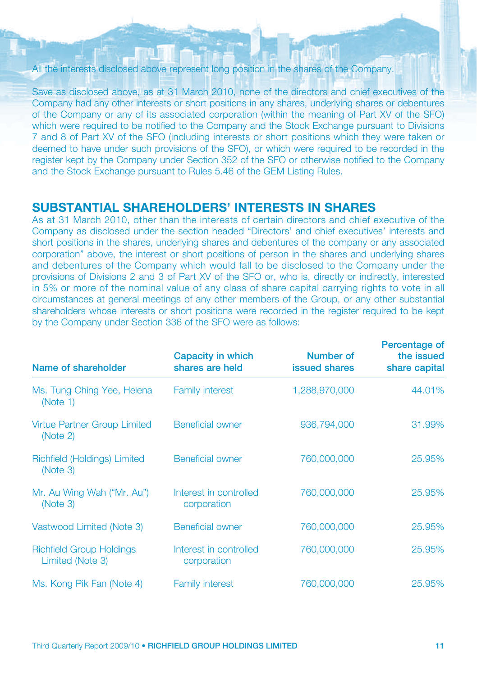#### All the interests disclosed above represent long position in the shares of the Company.

Save as disclosed above, as at 31 March 2010, none of the directors and chief executives of the Company had any other interests or short positions in any shares, underlying shares or debentures of the Company or any of its associated corporation (within the meaning of Part XV of the SFO) which were required to be notified to the Company and the Stock Exchange pursuant to Divisions 7 and 8 of Part XV of the SFO (including interests or short positions which they were taken or deemed to have under such provisions of the SFO), or which were required to be recorded in the register kept by the Company under Section 352 of the SFO or otherwise notified to the Company and the Stock Exchange pursuant to Rules 5.46 of the GEM Listing Rules.

### **SUBSTANTIAL SHAREHOLDERS' INTERESTS IN SHARES**

As at 31 March 2010, other than the interests of certain directors and chief executive of the Company as disclosed under the section headed "Directors' and chief executives' interests and short positions in the shares, underlying shares and debentures of the company or any associated corporation" above, the interest or short positions of person in the shares and underlying shares and debentures of the Company which would fall to be disclosed to the Company under the provisions of Divisions 2 and 3 of Part XV of the SFO or, who is, directly or indirectly, interested in 5% or more of the nominal value of any class of share capital carrying rights to vote in all circumstances at general meetings of any other members of the Group, or any other substantial shareholders whose interests or short positions were recorded in the register required to be kept by the Company under Section 336 of the SFO were as follows:

| Name of shareholder                                 | Capacity in which<br>shares are held  | Number of<br><b>issued shares</b> | Percentage of<br>the issued<br>share capital |
|-----------------------------------------------------|---------------------------------------|-----------------------------------|----------------------------------------------|
| Ms. Tung Ching Yee, Helena<br>(Note 1)              | <b>Family interest</b>                | 1,288,970,000                     | 44.01%                                       |
| <b>Virtue Partner Group Limited</b><br>(Note 2)     | Beneficial owner                      | 936,794,000                       | 31.99%                                       |
| Richfield (Holdings) Limited<br>(Note 3)            | Beneficial owner                      | 760,000,000                       | 25.95%                                       |
| Mr. Au Wing Wah ("Mr. Au")<br>(Note 3)              | Interest in controlled<br>corporation | 760,000,000                       | 25.95%                                       |
| Vastwood Limited (Note 3)                           | Beneficial owner                      | 760,000,000                       | 25.95%                                       |
| <b>Richfield Group Holdings</b><br>Limited (Note 3) | Interest in controlled<br>corporation | 760,000,000                       | 25.95%                                       |
| Ms. Kong Pik Fan (Note 4)                           | <b>Family interest</b>                | 760,000,000                       | 25.95%                                       |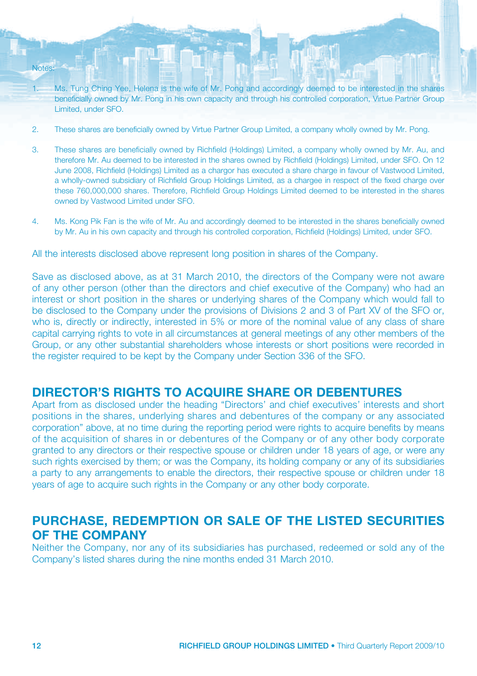- 1. Ms. Tung Ching Yee, Helena is the wife of Mr. Pong and accordingly deemed to be interested in the shares beneficially owned by Mr. Pong in his own capacity and through his controlled corporation, Virtue Partner Group Limited, under SFO.
- 2. These shares are beneficially owned by Virtue Partner Group Limited, a company wholly owned by Mr. Pong.
- 3. These shares are beneficially owned by Richfield (Holdings) Limited, a company wholly owned by Mr. Au, and therefore Mr. Au deemed to be interested in the shares owned by Richfield (Holdings) Limited, under SFO. On 12 June 2008, Richfield (Holdings) Limited as a chargor has executed a share charge in favour of Vastwood Limited, a wholly-owned subsidiary of Richfield Group Holdings Limited, as a chargee in respect of the fixed charge over these 760,000,000 shares. Therefore, Richfield Group Holdings Limited deemed to be interested in the shares owned by Vastwood Limited under SFO.
- 4. Ms. Kong Pik Fan is the wife of Mr. Au and accordingly deemed to be interested in the shares beneficially owned by Mr. Au in his own capacity and through his controlled corporation, Richfield (Holdings) Limited, under SFO.

All the interests disclosed above represent long position in shares of the Company.

Save as disclosed above, as at 31 March 2010, the directors of the Company were not aware of any other person (other than the directors and chief executive of the Company) who had an interest or short position in the shares or underlying shares of the Company which would fall to be disclosed to the Company under the provisions of Divisions 2 and 3 of Part XV of the SFO or, who is, directly or indirectly, interested in 5% or more of the nominal value of any class of share capital carrying rights to vote in all circumstances at general meetings of any other members of the Group, or any other substantial shareholders whose interests or short positions were recorded in the register required to be kept by the Company under Section 336 of the SFO.

### **DIRECTOR'S RIGHTS TO ACQUIRE SHARE OR DEBENTURES**

Apart from as disclosed under the heading "Directors' and chief executives' interests and short positions in the shares, underlying shares and debentures of the company or any associated corporation" above, at no time during the reporting period were rights to acquire benefits by means of the acquisition of shares in or debentures of the Company or of any other body corporate granted to any directors or their respective spouse or children under 18 years of age, or were any such rights exercised by them; or was the Company, its holding company or any of its subsidiaries a party to any arrangements to enable the directors, their respective spouse or children under 18 years of age to acquire such rights in the Company or any other body corporate.

### **PURCHASE, REDEMPTION OR SALE OF THE LISTED SECURITIES OF THE COMPANY**

Neither the Company, nor any of its subsidiaries has purchased, redeemed or sold any of the Company's listed shares during the nine months ended 31 March 2010.

Notes: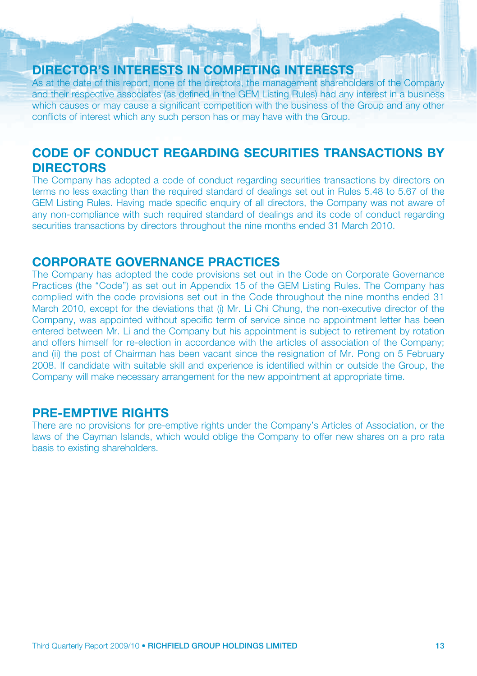### **DIRECTOR'S INTERESTS IN COMPETING INTERESTS**

As at the date of this report, none of the directors, the management shareholders of the Company and their respective associates (as defined in the GEM Listing Rules) had any interest in a business which causes or may cause a significant competition with the business of the Group and any other conflicts of interest which any such person has or may have with the Group.

### **CODE OF CONDUCT REGARDING SECURITIES TRANSACTIONS BY DIRECTORS**

The Company has adopted a code of conduct regarding securities transactions by directors on terms no less exacting than the required standard of dealings set out in Rules 5.48 to 5.67 of the GEM Listing Rules. Having made specific enquiry of all directors, the Company was not aware of any non-compliance with such required standard of dealings and its code of conduct regarding securities transactions by directors throughout the nine months ended 31 March 2010.

### **CORPORATE GOVERNANCE PRACTICES**

The Company has adopted the code provisions set out in the Code on Corporate Governance Practices (the "Code") as set out in Appendix 15 of the GEM Listing Rules. The Company has complied with the code provisions set out in the Code throughout the nine months ended 31 March 2010, except for the deviations that (i) Mr. Li Chi Chung, the non-executive director of the Company, was appointed without specific term of service since no appointment letter has been entered between Mr. Li and the Company but his appointment is subject to retirement by rotation and offers himself for re-election in accordance with the articles of association of the Company; and (ii) the post of Chairman has been vacant since the resignation of Mr. Pong on 5 February 2008. If candidate with suitable skill and experience is identified within or outside the Group, the Company will make necessary arrangement for the new appointment at appropriate time.

### **PRE-EMPTIVE RIGHTS**

There are no provisions for pre-emptive rights under the Company's Articles of Association, or the laws of the Cayman Islands, which would oblige the Company to offer new shares on a pro rata basis to existing shareholders.